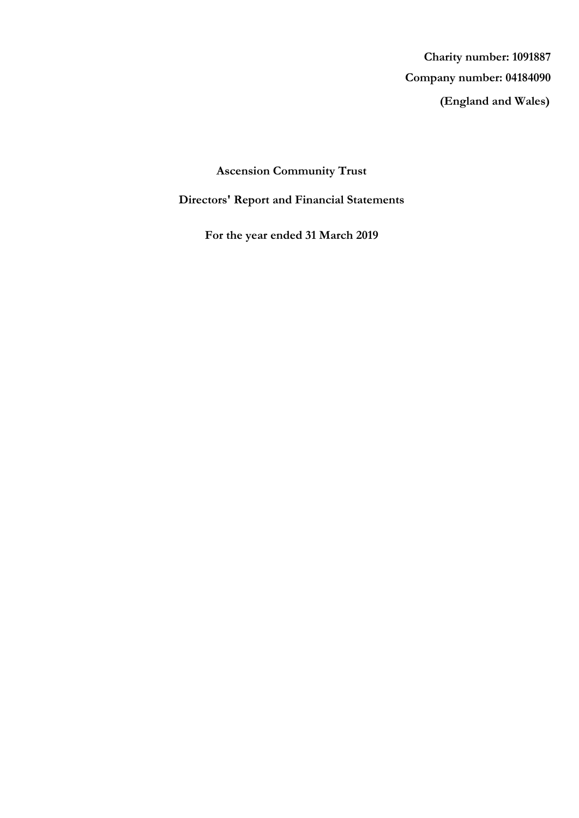**(England and Wales) Company number: 04184090 Charity number: 1091887**

# **Ascension Community Trust**

# **Directors' Report and Financial Statements**

**For the year ended 31 March 2019**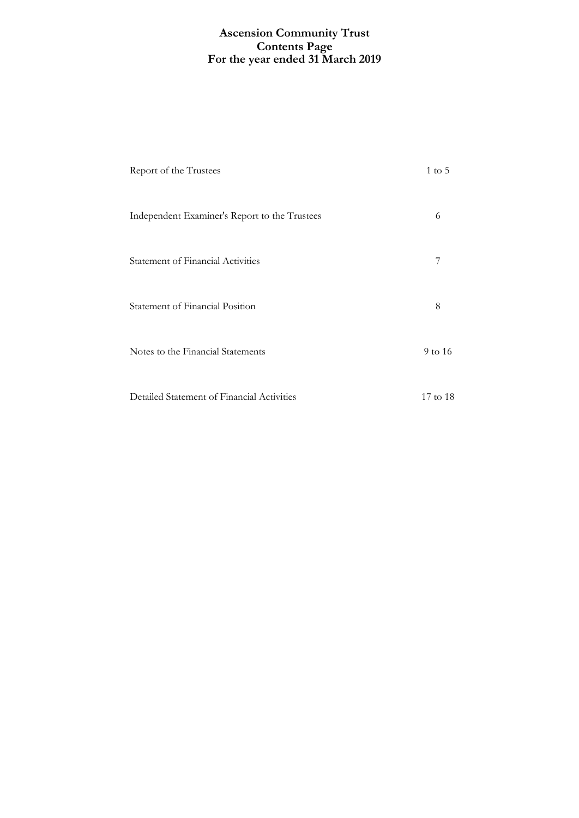## **For the year ended 31 March 2019 Ascension Community Trust Contents Page**

| Report of the Trustees                        | $1 \text{ to } 5$ |
|-----------------------------------------------|-------------------|
| Independent Examiner's Report to the Trustees | 6                 |
| <b>Statement of Financial Activities</b>      | 7                 |
| Statement of Financial Position               | 8                 |
| Notes to the Financial Statements             | 9 to 16           |
| Detailed Statement of Financial Activities    | 17 to 18          |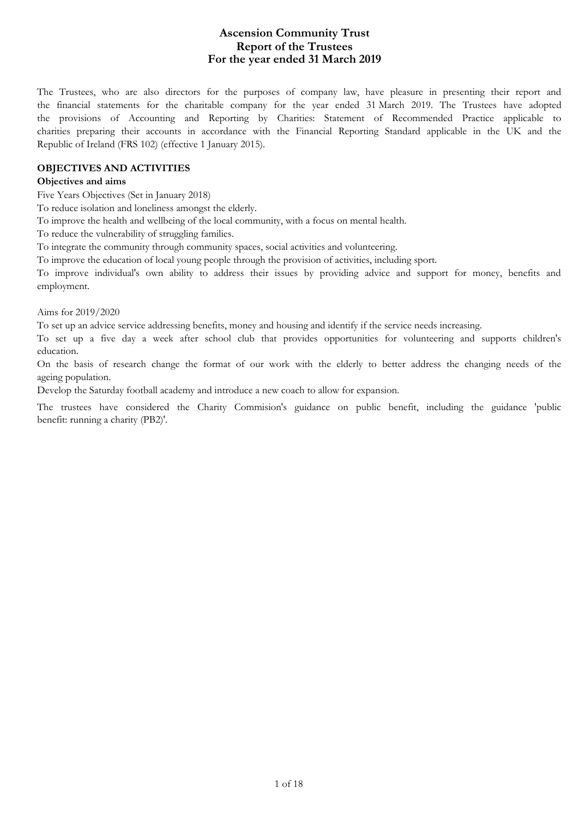## **For the year ended 31 March 2019 Ascension Community Trust Report of the Trustees**

The Trustees, who are also directors for the purposes of company law, have pleasure in presenting their report and the financial statements for the charitable company for the year ended 31 March 2019. The Trustees have adopted the provisions of Accounting and Reporting by Charities: Statement of Recommended Practice applicable to charities preparing their accounts in accordance with the Financial Reporting Standard applicable in the UK and the Republic of Ireland (FRS 102) (effective 1 January 2015).

#### **OBJECTIVES AND ACTIVITIES**

#### **Objectives and aims**

Five Years Objectives (Set in January 2018)

To reduce isolation and loneliness amongst the elderly.

To improve the health and wellbeing of the local community, with a focus on mental health.

To reduce the vulnerability of struggling families.

To integrate the community through community spaces, social activities and volunteering.

To improve the education of local young people through the provision of activities, including sport.

To improve individual's own ability to address their issues by providing advice and support for money, benefits and employment.

Aims for 2019/2020

To set up an advice service addressing benefits, money and housing and identify if the service needs increasing.

To set up a five day a week after school club that provides opportunities for volunteering and supports children's education.

On the basis of research change the format of our work with the elderly to better address the changing needs of the ageing population.

Develop the Saturday football academy and introduce a new coach to allow for expansion.

The trustees have considered the Charity Commision's guidance on public benefit, including the guidance 'public benefit: running a charity (PB2)'.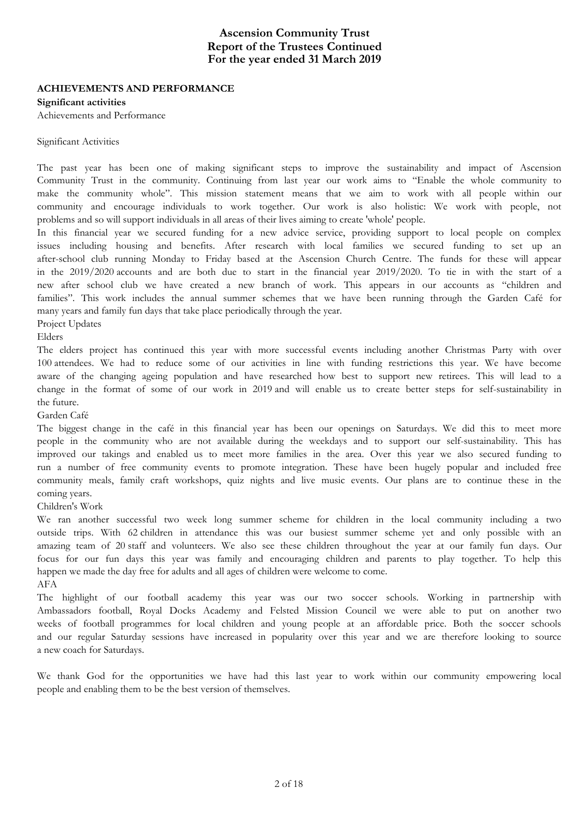### **For the year ended 31 March 2019 Ascension Community Trust Report of the Trustees Continued**

### **ACHIEVEMENTS AND PERFORMANCE**

**Significant activities**

Achievements and Performance

#### Significant Activities

The past year has been one of making significant steps to improve the sustainability and impact of Ascension Community Trust in the community. Continuing from last year our work aims to "Enable the whole community to make the community whole". This mission statement means that we aim to work with all people within our community and encourage individuals to work together. Our work is also holistic: We work with people, not problems and so will support individuals in all areas of their lives aiming to create 'whole' people.

In this financial year we secured funding for a new advice service, providing support to local people on complex issues including housing and benefits. After research with local families we secured funding to set up an after-school club running Monday to Friday based at the Ascension Church Centre. The funds for these will appear in the 2019/2020 accounts and are both due to start in the financial year 2019/2020. To tie in with the start of a new after school club we have created a new branch of work. This appears in our accounts as "children and families". This work includes the annual summer schemes that we have been running through the Garden Café for many years and family fun days that take place periodically through the year.

Project Updates

Elders

The elders project has continued this year with more successful events including another Christmas Party with over 100 attendees. We had to reduce some of our activities in line with funding restrictions this year. We have become aware of the changing ageing population and have researched how best to support new retirees. This will lead to a change in the format of some of our work in 2019 and will enable us to create better steps for self-sustainability in the future.

Garden Café

The biggest change in the café in this financial year has been our openings on Saturdays. We did this to meet more people in the community who are not available during the weekdays and to support our self-sustainability. This has improved our takings and enabled us to meet more families in the area. Over this year we also secured funding to run a number of free community events to promote integration. These have been hugely popular and included free community meals, family craft workshops, quiz nights and live music events. Our plans are to continue these in the coming years.

Children's Work

We ran another successful two week long summer scheme for children in the local community including a two outside trips. With 62 children in attendance this was our busiest summer scheme yet and only possible with an amazing team of 20 staff and volunteers. We also see these children throughout the year at our family fun days. Our focus for our fun days this year was family and encouraging children and parents to play together. To help this happen we made the day free for adults and all ages of children were welcome to come. AFA

The highlight of our football academy this year was our two soccer schools. Working in partnership with Ambassadors football, Royal Docks Academy and Felsted Mission Council we were able to put on another two weeks of football programmes for local children and young people at an affordable price. Both the soccer schools and our regular Saturday sessions have increased in popularity over this year and we are therefore looking to source a new coach for Saturdays.

We thank God for the opportunities we have had this last year to work within our community empowering local people and enabling them to be the best version of themselves.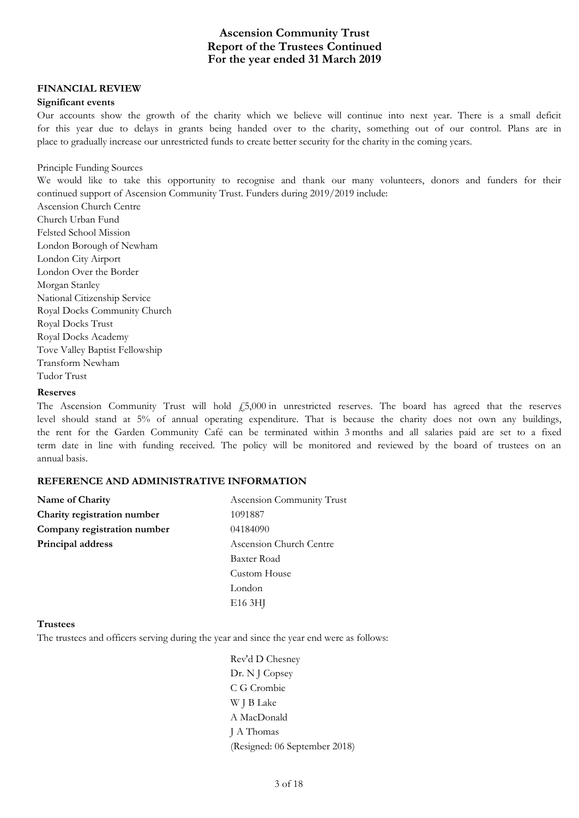## **For the year ended 31 March 2019 Ascension Community Trust Report of the Trustees Continued**

#### **FINANCIAL REVIEW**

#### **Significant events**

Our accounts show the growth of the charity which we believe will continue into next year. There is a small deficit for this year due to delays in grants being handed over to the charity, something out of our control. Plans are in place to gradually increase our unrestricted funds to create better security for the charity in the coming years.

#### Principle Funding Sources

We would like to take this opportunity to recognise and thank our many volunteers, donors and funders for their continued support of Ascension Community Trust. Funders during 2019/2019 include:

Ascension Church Centre Church Urban Fund Felsted School Mission London Borough of Newham London City Airport London Over the Border Morgan Stanley National Citizenship Service Royal Docks Community Church Royal Docks Trust Royal Docks Academy Tove Valley Baptist Fellowship Transform Newham Tudor Trust

#### **Reserves**

The Ascension Community Trust will hold  $f$ 5,000 in unrestricted reserves. The board has agreed that the reserves level should stand at 5% of annual operating expenditure. That is because the charity does not own any buildings, the rent for the Garden Community Café can be terminated within 3 months and all salaries paid are set to a fixed term date in line with funding received. The policy will be monitored and reviewed by the board of trustees on an annual basis.

#### **REFERENCE AND ADMINISTRATIVE INFORMATION**

| Name of Charity             | Ascension Community Trust |  |
|-----------------------------|---------------------------|--|
| Charity registration number | 1091887                   |  |
| Company registration number | 04184090                  |  |
| Principal address           | Ascension Church Centre   |  |
|                             | Baxter Road               |  |
|                             | Custom House              |  |
|                             | London                    |  |
|                             | E <sub>16</sub> 3HJ       |  |

#### **Trustees**

The trustees and officers serving during the year and since the year end were as follows:

Rev'd D Chesney Dr. N J Copsey C G Crombie W J B Lake A MacDonald J A Thomas (Resigned: 06 September 2018)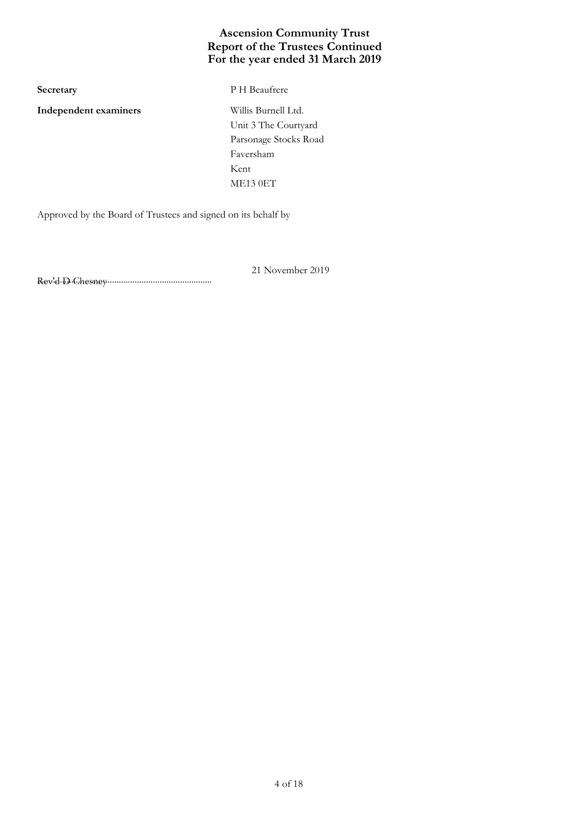## **For the year ended 31 March 2019 Ascension Community Trust Report of the Trustees Continued**

**Independent examiners** Willis Burnell Ltd.

**Secretary** P H Beaufrere

Unit 3 The Courtyard Parsonage Stocks Road Faversham Kent ME13 0ET

Approved by the Board of Trustees and signed on its behalf by

21 November 2019

............................................................................. Rev'd D Chesney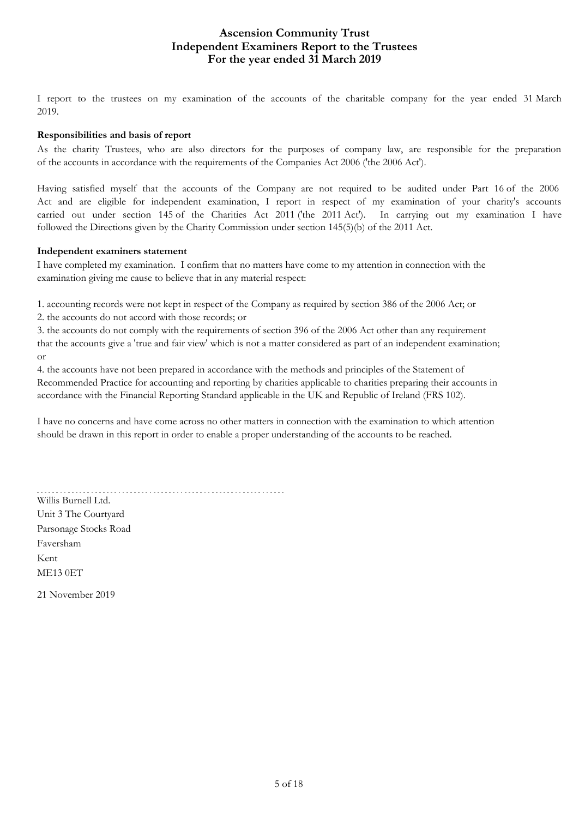## **For the year ended 31 March 2019 Ascension Community Trust Independent Examiners Report to the Trustees**

I report to the trustees on my examination of the accounts of the charitable company for the year ended 31 March 2019.

### **Responsibilities and basis of report**

As the charity Trustees, who are also directors for the purposes of company law, are responsible for the preparation of the accounts in accordance with the requirements of the Companies Act 2006 ('the 2006 Act').

Having satisfied myself that the accounts of the Company are not required to be audited under Part 16 of the 2006 Act and are eligible for independent examination, I report in respect of my examination of your charity's accounts carried out under section 145 of the Charities Act 2011 ('the 2011 Act'). In carrying out my examination I have followed the Directions given by the Charity Commission under section 145(5)(b) of the 2011 Act.

### **Independent examiners statement**

I have completed my examination. I confirm that no matters have come to my attention in connection with the examination giving me cause to believe that in any material respect:

1. accounting records were not kept in respect of the Company as required by section 386 of the 2006 Act; or

2. the accounts do not accord with those records; or

3. the accounts do not comply with the requirements of section 396 of the 2006 Act other than any requirement that the accounts give a 'true and fair view' which is not a matter considered as part of an independent examination; or

4. the accounts have not been prepared in accordance with the methods and principles of the Statement of Recommended Practice for accounting and reporting by charities applicable to charities preparing their accounts in accordance with the Financial Reporting Standard applicable in the UK and Republic of Ireland (FRS 102).

I have no concerns and have come across no other matters in connection with the examination to which attention should be drawn in this report in order to enable a proper understanding of the accounts to be reached.

Willis Burnell Ltd. Unit 3 The Courtyard Parsonage Stocks Road Faversham Kent

ME13 0ET

21 November 2019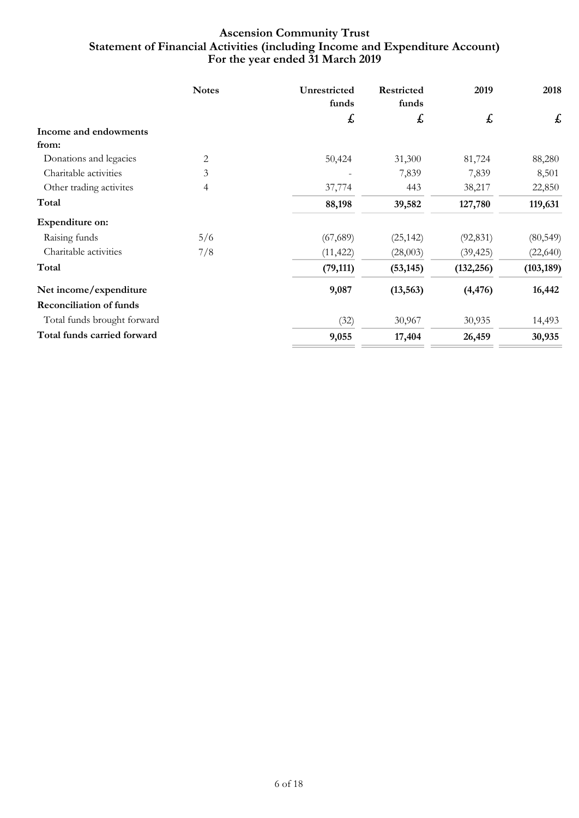## **For the year ended 31 March 2019 Ascension Community Trust Statement of Financial Activities (including Income and Expenditure Account)**

|                                | <b>Notes</b>             | Unrestricted<br>funds | <b>Restricted</b><br>funds | 2019       | 2018       |
|--------------------------------|--------------------------|-----------------------|----------------------------|------------|------------|
|                                |                          | £                     | £                          | £          | £          |
| Income and endowments          |                          |                       |                            |            |            |
| from:                          |                          |                       |                            |            |            |
| Donations and legacies         | 2                        | 50,424                | 31,300                     | 81,724     | 88,280     |
| Charitable activities          | 3                        |                       | 7,839                      | 7,839      | 8,501      |
| Other trading activites        | $\overline{\mathcal{A}}$ | 37,774                | 443                        | 38,217     | 22,850     |
| Total                          |                          | 88,198                | 39,582                     | 127,780    | 119,631    |
| Expenditure on:                |                          |                       |                            |            |            |
| Raising funds                  | 5/6                      | (67, 689)             | (25, 142)                  | (92, 831)  | (80, 549)  |
| Charitable activities          | 7/8                      | (11, 422)             | (28,003)                   | (39, 425)  | (22, 640)  |
| Total                          |                          | (79, 111)             | (53, 145)                  | (132, 256) | (103, 189) |
| Net income/expenditure         |                          | 9,087                 | (13, 563)                  | (4, 476)   | 16,442     |
| <b>Reconciliation of funds</b> |                          |                       |                            |            |            |
| Total funds brought forward    |                          | (32)                  | 30,967                     | 30,935     | 14,493     |
| Total funds carried forward    |                          | 9,055                 | 17,404                     | 26,459     | 30,935     |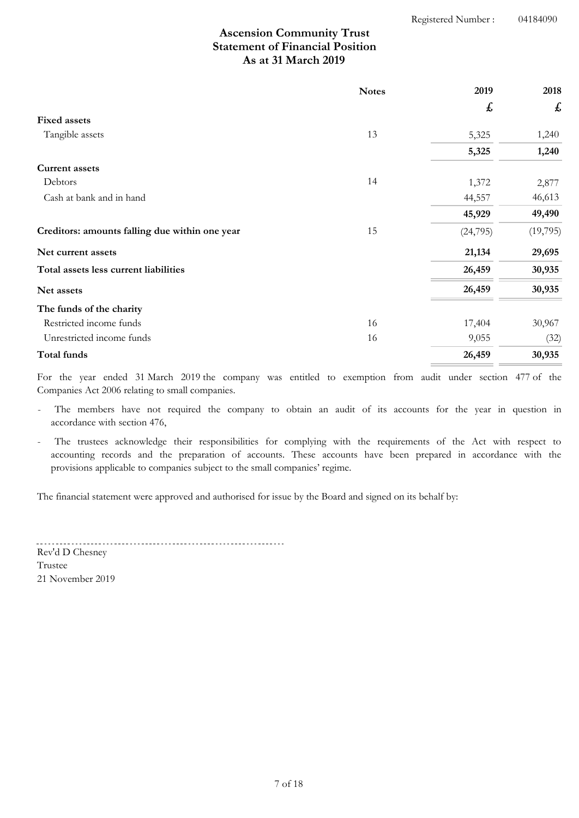# **As at 31 March 2019 Ascension Community Trust Statement of Financial Position**

|                                                | <b>Notes</b> | 2019      | 2018     |
|------------------------------------------------|--------------|-----------|----------|
|                                                |              | £         | £        |
| <b>Fixed assets</b>                            |              |           |          |
| Tangible assets                                | 13           | 5,325     | 1,240    |
|                                                |              | 5,325     | 1,240    |
| <b>Current assets</b>                          |              |           |          |
| Debtors                                        | 14           | 1,372     | 2,877    |
| Cash at bank and in hand                       |              | 44,557    | 46,613   |
|                                                |              | 45,929    | 49,490   |
| Creditors: amounts falling due within one year | 15           | (24, 795) | (19,795) |
| Net current assets                             |              | 21,134    | 29,695   |
| Total assets less current liabilities          |              | 26,459    | 30,935   |
| Net assets                                     |              | 26,459    | 30,935   |
| The funds of the charity                       |              |           |          |
| Restricted income funds                        | 16           | 17,404    | 30,967   |
| Unrestricted income funds                      | 16           | 9,055     | (32)     |
| Total funds                                    |              | 26,459    | 30,935   |

For the year ended 31 March 2019 the company was entitled to exemption from audit under section 477 of the Companies Act 2006 relating to small companies.

The members have not required the company to obtain an audit of its accounts for the year in question in accordance with section 476,

The trustees acknowledge their responsibilities for complying with the requirements of the Act with respect to accounting records and the preparation of accounts. These accounts have been prepared in accordance with the provisions applicable to companies subject to the small companies' regime.

The financial statement were approved and authorised for issue by the Board and signed on its behalf by:

Rev'd D Chesney

21 November 2019 Trustee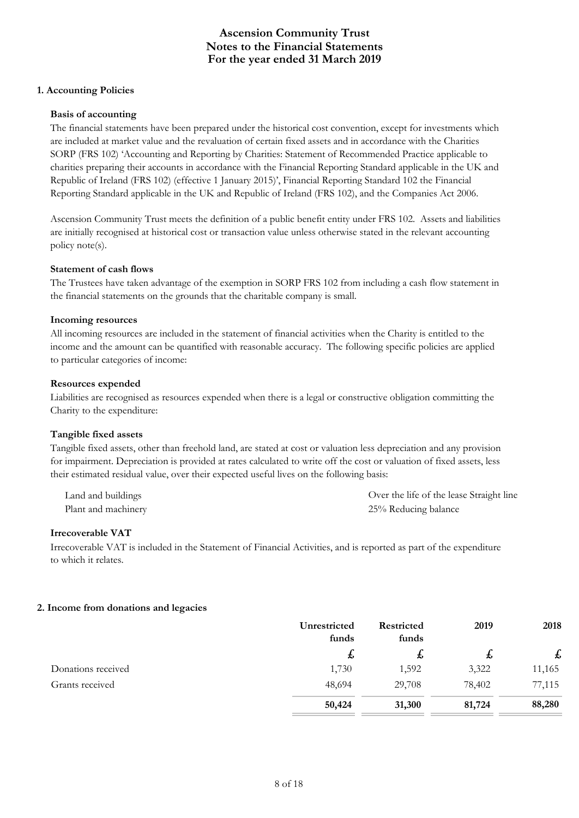### **1. Accounting Policies**

### **Basis of accounting**

The financial statements have been prepared under the historical cost convention, except for investments which are included at market value and the revaluation of certain fixed assets and in accordance with the Charities SORP (FRS 102) 'Accounting and Reporting by Charities: Statement of Recommended Practice applicable to charities preparing their accounts in accordance with the Financial Reporting Standard applicable in the UK and Republic of Ireland (FRS 102) (effective 1 January 2015)', Financial Reporting Standard 102 the Financial Reporting Standard applicable in the UK and Republic of Ireland (FRS 102), and the Companies Act 2006.

Ascension Community Trust meets the definition of a public benefit entity under FRS 102. Assets and liabilities are initially recognised at historical cost or transaction value unless otherwise stated in the relevant accounting policy note(s).

#### **Statement of cash flows**

The Trustees have taken advantage of the exemption in SORP FRS 102 from including a cash flow statement in the financial statements on the grounds that the charitable company is small.

#### **Incoming resources**

All incoming resources are included in the statement of financial activities when the Charity is entitled to the income and the amount can be quantified with reasonable accuracy. The following specific policies are applied to particular categories of income:

### **Resources expended**

Liabilities are recognised as resources expended when there is a legal or constructive obligation committing the Charity to the expenditure:

### **Tangible fixed assets**

Tangible fixed assets, other than freehold land, are stated at cost or valuation less depreciation and any provision for impairment. Depreciation is provided at rates calculated to write off the cost or valuation of fixed assets, less their estimated residual value, over their expected useful lives on the following basis:

| Land and buildings  | Over the life of the lease Straight line |
|---------------------|------------------------------------------|
| Plant and machinery | 25% Reducing balance                     |

#### **Irrecoverable VAT**

Irrecoverable VAT is included in the Statement of Financial Activities, and is reported as part of the expenditure to which it relates.

### **2. Income from donations and legacies**

|                    | Unrestricted | <b>Restricted</b> | 2019   | 2018   |
|--------------------|--------------|-------------------|--------|--------|
|                    | funds        | funds             |        |        |
|                    | 圡            | £,                | £,     | £      |
| Donations received | 1,730        | 1,592             | 3,322  | 11,165 |
| Grants received    | 48,694       | 29,708            | 78,402 | 77,115 |
|                    | 50,424       | 31,300            | 81,724 | 88,280 |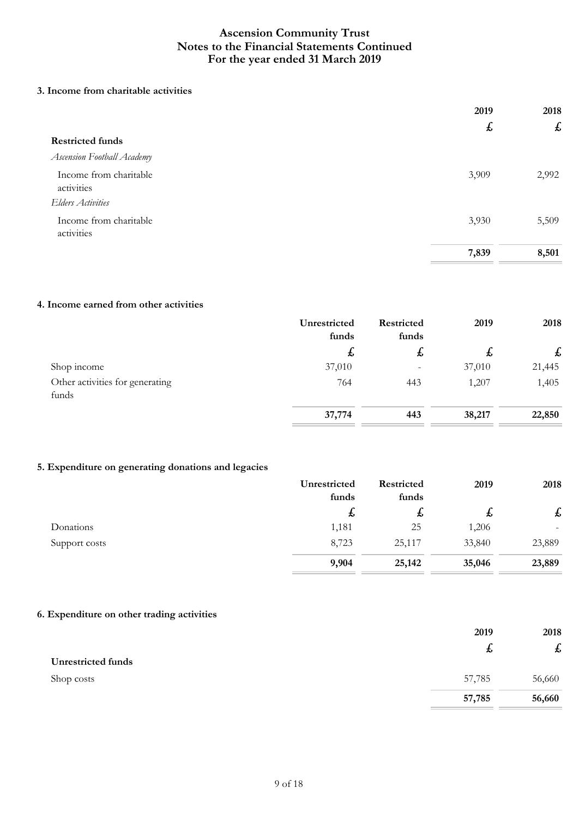### **3. Income from charitable activities**

|                                      | 2019<br>$\mathbf{r}$ | 2018  |
|--------------------------------------|----------------------|-------|
|                                      |                      | £     |
| <b>Restricted funds</b>              |                      |       |
| <b>Ascension Football Academy</b>    |                      |       |
| Income from charitable<br>activities | 3,909                | 2,992 |
| <b>Elders Activities</b>             |                      |       |
| Income from charitable<br>activities | 3,930                | 5,509 |
|                                      | 7,839                | 8,501 |

### **4. Income earned from other activities**

|                                          | Unrestricted<br>funds | <b>Restricted</b><br>funds | 2019   | 2018   |
|------------------------------------------|-----------------------|----------------------------|--------|--------|
|                                          | t,                    | ゎ                          | た      | £      |
| Shop income                              | 37,010                | $\overline{\phantom{a}}$   | 37,010 | 21,445 |
| Other activities for generating<br>funds | 764                   | 443                        | 1,207  | 1,405  |
|                                          | 37,774                | 443                        | 38,217 | 22,850 |

### **5. Expenditure on generating donations and legacies**

|               | Unrestricted | Restricted | 2019   | 2018                      |
|---------------|--------------|------------|--------|---------------------------|
|               | funds        | funds      |        |                           |
|               | ゎ            | た          | た      | $\boldsymbol{\mathit{f}}$ |
| Donations     | 1,181        | 25         | 1,206  |                           |
| Support costs | 8,723        | 25,117     | 33,840 | 23,889                    |
|               | 9,904        | 25,142     | 35,046 | 23,889                    |

## **6. Expenditure on other trading activities**

|                           | 2019   | 2018                      |
|---------------------------|--------|---------------------------|
|                           | た      | $\boldsymbol{\mathit{f}}$ |
| <b>Unrestricted funds</b> |        |                           |
| Shop costs                | 57,785 | 56,660                    |
|                           | 57,785 | 56,660                    |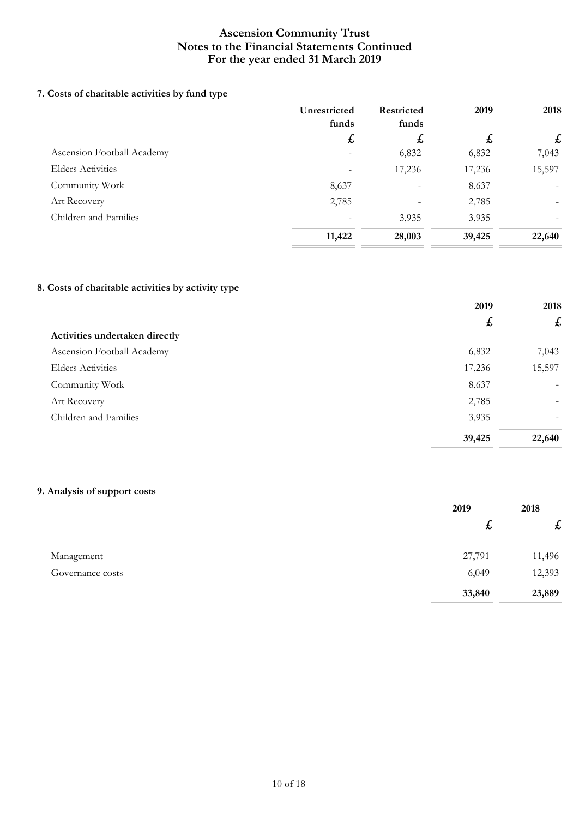## **7. Costs of charitable activities by fund type**

|                            | Unrestricted<br>funds | <b>Restricted</b><br>funds | 2019         | 2018      |
|----------------------------|-----------------------|----------------------------|--------------|-----------|
|                            | $\mathbf{r}$          | $\mathbf{f}$               | $\mathbf{f}$ | $\pounds$ |
| Ascension Football Academy |                       | 6,832                      | 6,832        | 7,043     |
| <b>Elders Activities</b>   |                       | 17,236                     | 17,236       | 15,597    |
| Community Work             | 8,637                 | $\qquad \qquad$            | 8,637        |           |
| Art Recovery               | 2,785                 |                            | 2,785        |           |
| Children and Families      |                       | 3,935                      | 3,935        |           |
|                            | 11,422                | 28,003                     | 39,425       | 22,640    |

### **8. Costs of charitable activities by activity type**

|                                | 2019   | 2018                     |
|--------------------------------|--------|--------------------------|
|                                | £      | $\pounds$                |
| Activities undertaken directly |        |                          |
| Ascension Football Academy     | 6,832  | 7,043                    |
| <b>Elders Activities</b>       | 17,236 | 15,597                   |
| Community Work                 | 8,637  | $\overline{\phantom{a}}$ |
| Art Recovery                   | 2,785  |                          |
| Children and Families          | 3,935  |                          |
|                                | 39,425 | 22,640                   |

# **9. Analysis of support costs**

|                  | 2019             | 2018                      |
|------------------|------------------|---------------------------|
|                  | $\boldsymbol{t}$ | $\boldsymbol{\mathit{f}}$ |
| Management       | 27,791           | 11,496                    |
| Governance costs | 6,049            | 12,393                    |
|                  | 33,840           | 23,889                    |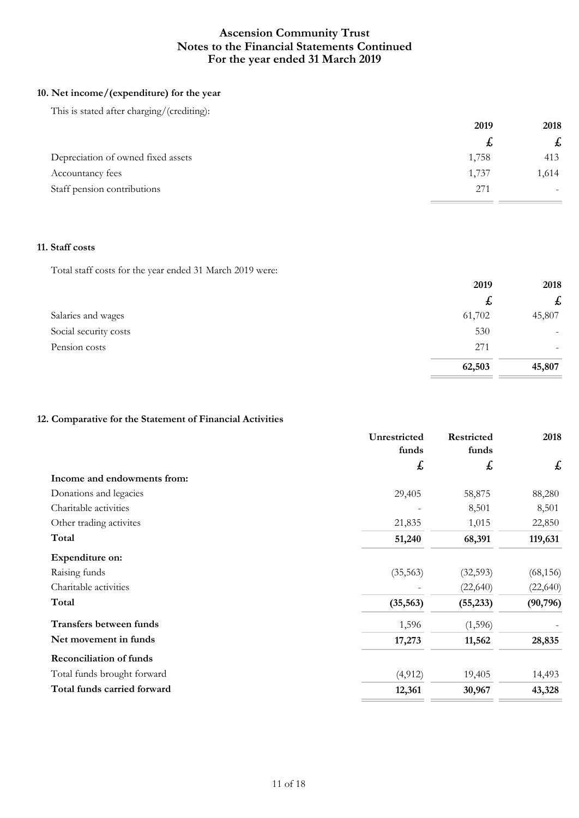### **10. Net income/(expenditure) for the year**

This is stated after charging/(crediting):

|                                    | 2019  | 2018         |
|------------------------------------|-------|--------------|
|                                    |       | $\mathbf{f}$ |
| Depreciation of owned fixed assets | 1,758 | 413          |
| Accountancy fees                   | 1,737 | 1,614        |
| Staff pension contributions        | 271   |              |

### **11. Staff costs**

Total staff costs for the year ended 31 March 2019 were:

|                       | 2019   | 2018                      |  |
|-----------------------|--------|---------------------------|--|
|                       | た      | $\boldsymbol{\mathsf{f}}$ |  |
| Salaries and wages    | 61,702 | 45,807                    |  |
| Social security costs | 530    | $\overline{\phantom{0}}$  |  |
| Pension costs         | 271    | $\overline{\phantom{0}}$  |  |
|                       | 62,503 | 45,807                    |  |

### **12. Comparative for the Statement of Financial Activities**

|                                | Unrestricted<br>funds | Restricted<br>funds | 2018      |
|--------------------------------|-----------------------|---------------------|-----------|
|                                | £                     | £                   | £         |
| Income and endowments from:    |                       |                     |           |
| Donations and legacies         | 29,405                | 58,875              | 88,280    |
| Charitable activities          |                       | 8,501               | 8,501     |
| Other trading activites        | 21,835                | 1,015               | 22,850    |
| Total                          | 51,240                | 68,391              | 119,631   |
| Expenditure on:                |                       |                     |           |
| Raising funds                  | (35, 563)             | (32, 593)           | (68, 156) |
| Charitable activities          |                       | (22, 640)           | (22, 640) |
| Total                          | (35, 563)             | (55, 233)           | (90, 796) |
| Transfers between funds        | 1,596                 | (1,596)             |           |
| Net movement in funds          | 17,273                | 11,562              | 28,835    |
| <b>Reconciliation of funds</b> |                       |                     |           |
| Total funds brought forward    | (4, 912)              | 19,405              | 14,493    |
| Total funds carried forward    | 12,361                | 30,967              | 43,328    |
|                                |                       |                     |           |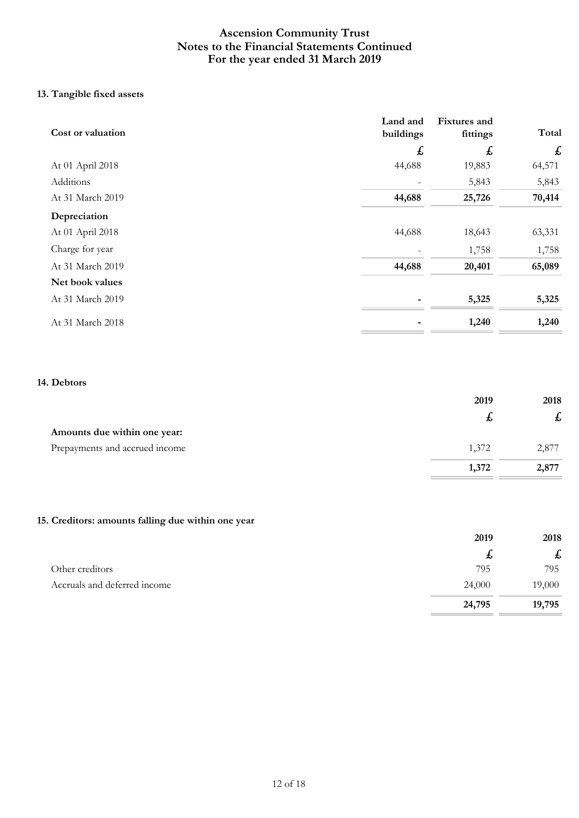## **13. Tangible fixed assets**

| Cost or valuation | Land and<br>buildings | <b>Fixtures</b> and<br>fittings | Total            |
|-------------------|-----------------------|---------------------------------|------------------|
|                   | £                     | £                               | $f_{\mathbf{r}}$ |
| At 01 April 2018  | 44,688                | 19,883                          | 64,571           |
| Additions         |                       | 5,843                           | 5,843            |
| At 31 March 2019  | 44,688                | 25,726                          | 70,414           |
| Depreciation      |                       |                                 |                  |
| At 01 April 2018  | 44,688                | 18,643                          | 63,331           |
| Charge for year   |                       | 1,758                           | 1,758            |
| At 31 March 2019  | 44,688                | 20,401                          | 65,089           |
| Net book values   |                       |                                 |                  |
| At 31 March 2019  |                       | 5,325                           | 5,325            |
| At 31 March 2018  |                       | 1,240                           | 1,240            |

### **14. Debtors**

|                                | 2019  | 2018  |
|--------------------------------|-------|-------|
|                                | £,    | 圡     |
| Amounts due within one year:   |       |       |
| Prepayments and accrued income | 1,372 | 2,877 |
|                                | 1,372 | 2,877 |

## **15. Creditors: amounts falling due within one year**

|                              | 2019   | 2018      |
|------------------------------|--------|-----------|
|                              | £,     | $\pounds$ |
| Other creditors              | 795    | 795       |
| Accruals and deferred income | 24,000 | 19,000    |
|                              | 24,795 | 19,795    |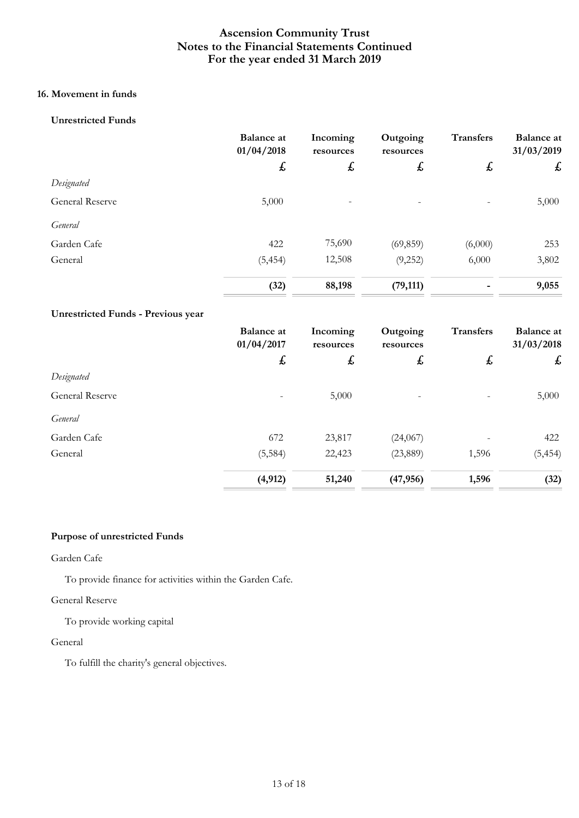# **16. Movement in funds**

### **Unrestricted Funds**

|                        | <b>Balance</b> at<br>01/04/2018 | Incoming<br>resources | Outgoing<br>resources | <b>Transfers</b> | <b>Balance</b> at<br>31/03/2019 |
|------------------------|---------------------------------|-----------------------|-----------------------|------------------|---------------------------------|
|                        | £                               | $\pmb{\downarrow}$    | $\boldsymbol{f}$      | $\mathbf{f}$     | £                               |
| Designated             |                                 |                       |                       |                  |                                 |
| <b>General Reserve</b> | 5,000                           |                       |                       |                  | 5,000                           |
| General                |                                 |                       |                       |                  |                                 |
| Garden Cafe            | 422                             | 75,690                | (69, 859)             | (6,000)          | 253                             |
| General                | (5, 454)                        | 12,508                | (9,252)               | 6,000            | 3,802                           |
|                        | (32)                            | 88,198                | (79, 111)             |                  | 9,055                           |

### **Unrestricted Funds - Previous year**

|                        | <b>Balance</b> at<br>01/04/2017 | Incoming<br>resources | Outgoing<br>resources | <b>Transfers</b> | <b>Balance</b> at<br>31/03/2018 |
|------------------------|---------------------------------|-----------------------|-----------------------|------------------|---------------------------------|
|                        | $\mathbf{f}$                    | $\boldsymbol{f}$      | $\mathbf{r}$          | £                | £                               |
| Designated             |                                 |                       |                       |                  |                                 |
| <b>General Reserve</b> |                                 | 5,000                 |                       |                  | 5,000                           |
| General                |                                 |                       |                       |                  |                                 |
| Garden Cafe            | 672                             | 23,817                | (24,067)              |                  | 422                             |
| General                | (5, 584)                        | 22,423                | (23,889)              | 1,596            | (5, 454)                        |
|                        | (4, 912)                        | 51,240                | (47, 956)             | 1,596            | (32)                            |

### **Purpose of unrestricted Funds**

### Garden Cafe

To provide finance for activities within the Garden Cafe.

### General Reserve

To provide working capital

### General

To fulfill the charity's general objectives.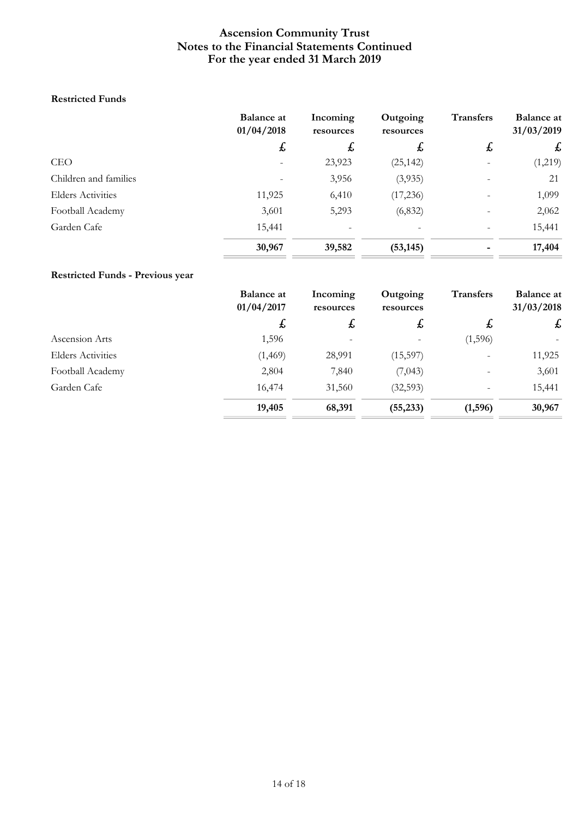### **Restricted Funds**

|                          | <b>Balance at</b><br>01/04/2018 | Incoming<br>resources | Outgoing<br>resources | <b>Transfers</b> | <b>Balance at</b><br>31/03/2019 |
|--------------------------|---------------------------------|-----------------------|-----------------------|------------------|---------------------------------|
|                          | $\mathbf t$                     | £,                    | $\boldsymbol{t}$      | $\mathbf{t}$     | $\mathbf{f}$                    |
| <b>CEO</b>               |                                 | 23,923                | (25, 142)             |                  | (1,219)                         |
| Children and families    |                                 | 3,956                 | (3,935)               |                  | 21                              |
| <b>Elders Activities</b> | 11,925                          | 6,410                 | (17, 236)             |                  | 1,099                           |
| Football Academy         | 3,601                           | 5,293                 | (6, 832)              |                  | 2,062                           |
| Garden Cafe              | 15,441                          |                       |                       |                  | 15,441                          |
|                          | 30,967                          | 39,582                | (53, 145)             |                  | 17,404                          |

# **Restricted Funds - Previous year**

|                          | <b>Balance at</b><br>01/04/2017 | Incoming<br>resources | Outgoing<br>resources | <b>Transfers</b><br>$\mathbf{t}$ | <b>Balance at</b><br>31/03/2018<br>£ |
|--------------------------|---------------------------------|-----------------------|-----------------------|----------------------------------|--------------------------------------|
|                          | $\mathbf{f}$                    | $\mathbf{f}$          | $\mathbf{f}$          |                                  |                                      |
| Ascension Arts           | 1,596                           |                       |                       | (1,596)                          |                                      |
| <b>Elders Activities</b> | (1, 469)                        | 28,991                | (15,597)              |                                  | 11,925                               |
| Football Academy         | 2,804                           | 7,840                 | (7,043)               | $\qquad \qquad \blacksquare$     | 3,601                                |
| Garden Cafe              | 16,474                          | 31,560                | (32,593)              | $\overline{\phantom{a}}$         | 15,441                               |
|                          | 19,405                          | 68,391                | (55, 233)             | (1,596)                          | 30,967                               |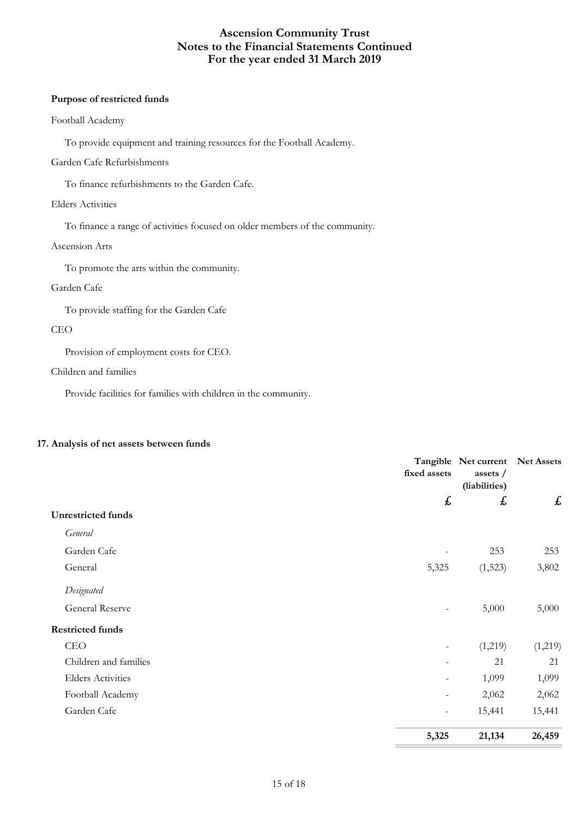#### **Purpose of restricted funds**

### Football Academy

To provide equipment and training resources for the Football Academy.

### Garden Cafe Refurbishments

To finance refurbishments to the Garden Cafe.

### Elders Activities

To finance a range of activities focused on older members of the community.

### Ascension Arts

To promote the arts within the community.

### Garden Cafe

To provide staffing for the Garden Cafe

### CEO

Provision of employment costs for CEO.

### Children and families

Provide facilities for families with children in the community.

### **17. Analysis of net assets between funds**

|                           | fixed assets             | Tangible Net current<br>assets /<br>(liabilities) | <b>Net Assets</b> |
|---------------------------|--------------------------|---------------------------------------------------|-------------------|
|                           | £                        | £                                                 | £                 |
| <b>Unrestricted funds</b> |                          |                                                   |                   |
| General                   |                          |                                                   |                   |
| Garden Cafe               |                          | 253                                               | 253               |
| General                   | 5,325                    | (1,523)                                           | 3,802             |
| Designated                |                          |                                                   |                   |
| General Reserve           | $\overline{\phantom{a}}$ | 5,000                                             | 5,000             |
| <b>Restricted funds</b>   |                          |                                                   |                   |
| CEO                       | $\overline{\phantom{a}}$ | (1,219)                                           | (1,219)           |
| Children and families     |                          | 21                                                | 21                |
| <b>Elders Activities</b>  | $\overline{\phantom{a}}$ | 1,099                                             | 1,099             |
| Football Academy          | $\overline{\phantom{a}}$ | 2,062                                             | 2,062             |
| Garden Cafe               | $\overline{\phantom{a}}$ | 15,441                                            | 15,441            |
|                           | 5,325                    | 21,134                                            | 26,459            |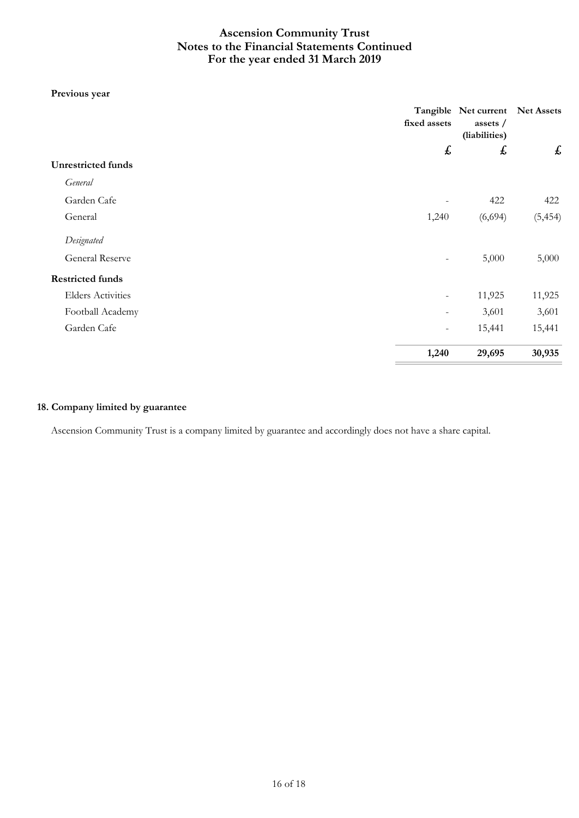### **Previous year**

|                           | fixed assets             | Tangible Net current<br>assets /<br>(liabilities) | Net Assets |
|---------------------------|--------------------------|---------------------------------------------------|------------|
|                           | £                        | $\boldsymbol{\mathit{f}}$                         | £          |
| <b>Unrestricted funds</b> |                          |                                                   |            |
| General                   |                          |                                                   |            |
| Garden Cafe               |                          | 422                                               | 422        |
| General                   | 1,240                    | (6,694)                                           | (5, 454)   |
| Designated                |                          |                                                   |            |
| General Reserve           | Ξ.                       | 5,000                                             | 5,000      |
| <b>Restricted funds</b>   |                          |                                                   |            |
| <b>Elders Activities</b>  | $\overline{\phantom{a}}$ | 11,925                                            | 11,925     |
| Football Academy          | Ξ.                       | 3,601                                             | 3,601      |
| Garden Cafe               | Ξ.                       | 15,441                                            | 15,441     |
|                           | 1,240                    | 29,695                                            | 30,935     |

### **18. Company limited by guarantee**

Ascension Community Trust is a company limited by guarantee and accordingly does not have a share capital.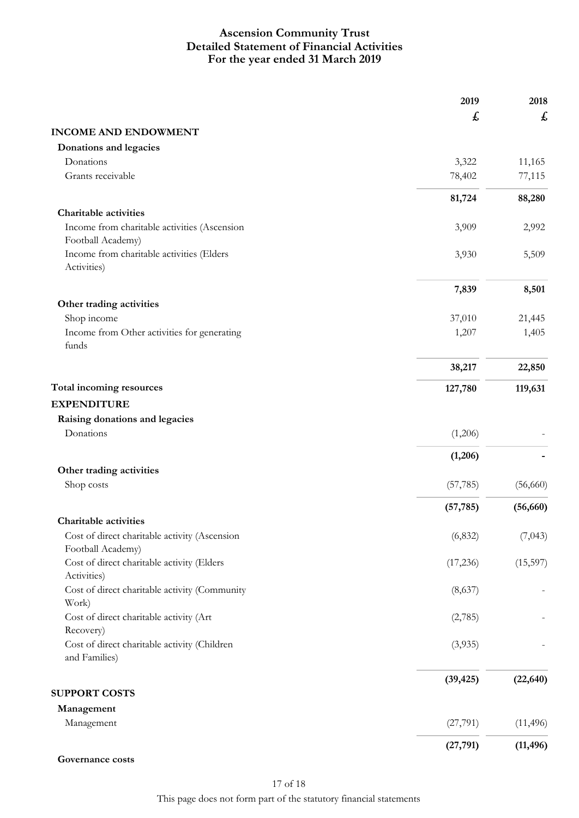## **For the year ended 31 March 2019 Ascension Community Trust Detailed Statement of Financial Activities**

| £<br><b>INCOME AND ENDOWMENT</b><br>Donations and legacies<br>Donations<br>3,322<br>11,165<br>Grants receivable<br>78,402<br>77,115<br>81,724<br>88,280<br><b>Charitable activities</b><br>Income from charitable activities (Ascension<br>3,909<br>2,992<br>Football Academy)<br>Income from charitable activities (Elders<br>3,930<br>5,509<br>Activities)<br>7,839<br>8,501<br>Other trading activities<br>Shop income<br>37,010<br>21,445<br>1,405<br>Income from Other activities for generating<br>1,207<br>funds<br>38,217<br>22,850<br>Total incoming resources<br>119,631<br>127,780<br><b>EXPENDITURE</b><br>Raising donations and legacies<br>Donations<br>(1,206)<br>(1,206)<br>Other trading activities<br>Shop costs<br>(57, 785)<br>(56,660)<br>(57, 785)<br><b>Charitable activities</b><br>Cost of direct charitable activity (Ascension<br>(6, 832)<br>Football Academy)<br>Cost of direct charitable activity (Elders<br>(17,236)<br>(15,597)<br>Activities)<br>Cost of direct charitable activity (Community<br>(8,637)<br>Work)<br>Cost of direct charitable activity (Art<br>(2,785)<br>Recovery)<br>Cost of direct charitable activity (Children<br>(3,935)<br>and Families)<br>(39, 425)<br><b>SUPPORT COSTS</b> |            | 2019 | 2018 |
|------------------------------------------------------------------------------------------------------------------------------------------------------------------------------------------------------------------------------------------------------------------------------------------------------------------------------------------------------------------------------------------------------------------------------------------------------------------------------------------------------------------------------------------------------------------------------------------------------------------------------------------------------------------------------------------------------------------------------------------------------------------------------------------------------------------------------------------------------------------------------------------------------------------------------------------------------------------------------------------------------------------------------------------------------------------------------------------------------------------------------------------------------------------------------------------------------------------------------------------|------------|------|------|
| (56, 660)                                                                                                                                                                                                                                                                                                                                                                                                                                                                                                                                                                                                                                                                                                                                                                                                                                                                                                                                                                                                                                                                                                                                                                                                                                |            |      | £    |
|                                                                                                                                                                                                                                                                                                                                                                                                                                                                                                                                                                                                                                                                                                                                                                                                                                                                                                                                                                                                                                                                                                                                                                                                                                          |            |      |      |
|                                                                                                                                                                                                                                                                                                                                                                                                                                                                                                                                                                                                                                                                                                                                                                                                                                                                                                                                                                                                                                                                                                                                                                                                                                          |            |      |      |
|                                                                                                                                                                                                                                                                                                                                                                                                                                                                                                                                                                                                                                                                                                                                                                                                                                                                                                                                                                                                                                                                                                                                                                                                                                          |            |      |      |
|                                                                                                                                                                                                                                                                                                                                                                                                                                                                                                                                                                                                                                                                                                                                                                                                                                                                                                                                                                                                                                                                                                                                                                                                                                          |            |      |      |
|                                                                                                                                                                                                                                                                                                                                                                                                                                                                                                                                                                                                                                                                                                                                                                                                                                                                                                                                                                                                                                                                                                                                                                                                                                          |            |      |      |
|                                                                                                                                                                                                                                                                                                                                                                                                                                                                                                                                                                                                                                                                                                                                                                                                                                                                                                                                                                                                                                                                                                                                                                                                                                          |            |      |      |
|                                                                                                                                                                                                                                                                                                                                                                                                                                                                                                                                                                                                                                                                                                                                                                                                                                                                                                                                                                                                                                                                                                                                                                                                                                          |            |      |      |
|                                                                                                                                                                                                                                                                                                                                                                                                                                                                                                                                                                                                                                                                                                                                                                                                                                                                                                                                                                                                                                                                                                                                                                                                                                          |            |      |      |
|                                                                                                                                                                                                                                                                                                                                                                                                                                                                                                                                                                                                                                                                                                                                                                                                                                                                                                                                                                                                                                                                                                                                                                                                                                          |            |      |      |
|                                                                                                                                                                                                                                                                                                                                                                                                                                                                                                                                                                                                                                                                                                                                                                                                                                                                                                                                                                                                                                                                                                                                                                                                                                          |            |      |      |
|                                                                                                                                                                                                                                                                                                                                                                                                                                                                                                                                                                                                                                                                                                                                                                                                                                                                                                                                                                                                                                                                                                                                                                                                                                          |            |      |      |
|                                                                                                                                                                                                                                                                                                                                                                                                                                                                                                                                                                                                                                                                                                                                                                                                                                                                                                                                                                                                                                                                                                                                                                                                                                          |            |      |      |
|                                                                                                                                                                                                                                                                                                                                                                                                                                                                                                                                                                                                                                                                                                                                                                                                                                                                                                                                                                                                                                                                                                                                                                                                                                          |            |      |      |
|                                                                                                                                                                                                                                                                                                                                                                                                                                                                                                                                                                                                                                                                                                                                                                                                                                                                                                                                                                                                                                                                                                                                                                                                                                          |            |      |      |
|                                                                                                                                                                                                                                                                                                                                                                                                                                                                                                                                                                                                                                                                                                                                                                                                                                                                                                                                                                                                                                                                                                                                                                                                                                          |            |      |      |
|                                                                                                                                                                                                                                                                                                                                                                                                                                                                                                                                                                                                                                                                                                                                                                                                                                                                                                                                                                                                                                                                                                                                                                                                                                          |            |      |      |
|                                                                                                                                                                                                                                                                                                                                                                                                                                                                                                                                                                                                                                                                                                                                                                                                                                                                                                                                                                                                                                                                                                                                                                                                                                          |            |      |      |
|                                                                                                                                                                                                                                                                                                                                                                                                                                                                                                                                                                                                                                                                                                                                                                                                                                                                                                                                                                                                                                                                                                                                                                                                                                          |            |      |      |
|                                                                                                                                                                                                                                                                                                                                                                                                                                                                                                                                                                                                                                                                                                                                                                                                                                                                                                                                                                                                                                                                                                                                                                                                                                          |            |      |      |
| (7,043)<br>(22, 640)                                                                                                                                                                                                                                                                                                                                                                                                                                                                                                                                                                                                                                                                                                                                                                                                                                                                                                                                                                                                                                                                                                                                                                                                                     |            |      |      |
|                                                                                                                                                                                                                                                                                                                                                                                                                                                                                                                                                                                                                                                                                                                                                                                                                                                                                                                                                                                                                                                                                                                                                                                                                                          |            |      |      |
|                                                                                                                                                                                                                                                                                                                                                                                                                                                                                                                                                                                                                                                                                                                                                                                                                                                                                                                                                                                                                                                                                                                                                                                                                                          |            |      |      |
|                                                                                                                                                                                                                                                                                                                                                                                                                                                                                                                                                                                                                                                                                                                                                                                                                                                                                                                                                                                                                                                                                                                                                                                                                                          |            |      |      |
|                                                                                                                                                                                                                                                                                                                                                                                                                                                                                                                                                                                                                                                                                                                                                                                                                                                                                                                                                                                                                                                                                                                                                                                                                                          |            |      |      |
|                                                                                                                                                                                                                                                                                                                                                                                                                                                                                                                                                                                                                                                                                                                                                                                                                                                                                                                                                                                                                                                                                                                                                                                                                                          |            |      |      |
|                                                                                                                                                                                                                                                                                                                                                                                                                                                                                                                                                                                                                                                                                                                                                                                                                                                                                                                                                                                                                                                                                                                                                                                                                                          |            |      |      |
|                                                                                                                                                                                                                                                                                                                                                                                                                                                                                                                                                                                                                                                                                                                                                                                                                                                                                                                                                                                                                                                                                                                                                                                                                                          |            |      |      |
|                                                                                                                                                                                                                                                                                                                                                                                                                                                                                                                                                                                                                                                                                                                                                                                                                                                                                                                                                                                                                                                                                                                                                                                                                                          |            |      |      |
|                                                                                                                                                                                                                                                                                                                                                                                                                                                                                                                                                                                                                                                                                                                                                                                                                                                                                                                                                                                                                                                                                                                                                                                                                                          |            |      |      |
|                                                                                                                                                                                                                                                                                                                                                                                                                                                                                                                                                                                                                                                                                                                                                                                                                                                                                                                                                                                                                                                                                                                                                                                                                                          |            |      |      |
|                                                                                                                                                                                                                                                                                                                                                                                                                                                                                                                                                                                                                                                                                                                                                                                                                                                                                                                                                                                                                                                                                                                                                                                                                                          |            |      |      |
|                                                                                                                                                                                                                                                                                                                                                                                                                                                                                                                                                                                                                                                                                                                                                                                                                                                                                                                                                                                                                                                                                                                                                                                                                                          |            |      |      |
|                                                                                                                                                                                                                                                                                                                                                                                                                                                                                                                                                                                                                                                                                                                                                                                                                                                                                                                                                                                                                                                                                                                                                                                                                                          |            |      |      |
|                                                                                                                                                                                                                                                                                                                                                                                                                                                                                                                                                                                                                                                                                                                                                                                                                                                                                                                                                                                                                                                                                                                                                                                                                                          |            |      |      |
|                                                                                                                                                                                                                                                                                                                                                                                                                                                                                                                                                                                                                                                                                                                                                                                                                                                                                                                                                                                                                                                                                                                                                                                                                                          |            |      |      |
|                                                                                                                                                                                                                                                                                                                                                                                                                                                                                                                                                                                                                                                                                                                                                                                                                                                                                                                                                                                                                                                                                                                                                                                                                                          |            |      |      |
|                                                                                                                                                                                                                                                                                                                                                                                                                                                                                                                                                                                                                                                                                                                                                                                                                                                                                                                                                                                                                                                                                                                                                                                                                                          |            |      |      |
|                                                                                                                                                                                                                                                                                                                                                                                                                                                                                                                                                                                                                                                                                                                                                                                                                                                                                                                                                                                                                                                                                                                                                                                                                                          | Management |      |      |
| Management<br>(27,791)<br>(11, 496)                                                                                                                                                                                                                                                                                                                                                                                                                                                                                                                                                                                                                                                                                                                                                                                                                                                                                                                                                                                                                                                                                                                                                                                                      |            |      |      |
| (27, 791)<br>(11, 496)                                                                                                                                                                                                                                                                                                                                                                                                                                                                                                                                                                                                                                                                                                                                                                                                                                                                                                                                                                                                                                                                                                                                                                                                                   |            |      |      |

```
Governance costs
```